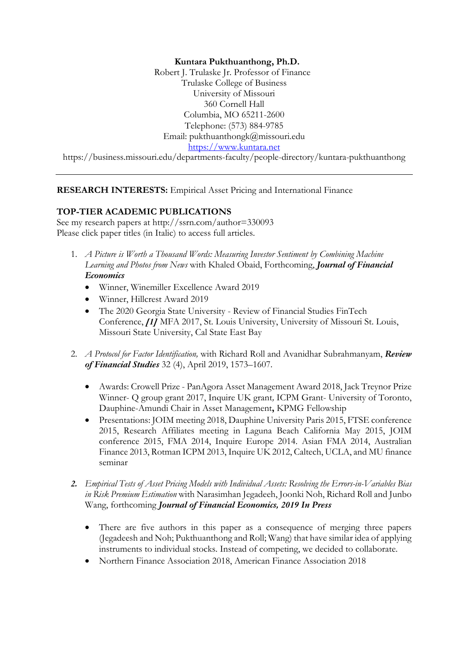#### **Kuntara Pukthuanthong, Ph.D.**

Robert J. Trulaske Jr. Professor of Finance Trulaske College of Business University of Missouri 360 Cornell Hall Columbia, MO 65211-2600 Telephone: (573) 884-9785 Email: pukthuanthongk@missouri.edu https://www.kuntara.net https://business.missouri.edu/departments-faculty/people-directory/kuntara-pukthuanthong

**RESEARCH INTERESTS:** Empirical Asset Pricing and International Finance

#### **TOP-TIER ACADEMIC PUBLICATIONS**

See my research papers at http://ssrn.com/author=330093 Please click paper titles (in Italic) to access full articles.

- 1. *A Picture is Worth a Thousand Words: Measuring Investor Sentiment by Combining Machine Learning and Photos from News* with Khaled Obaid, Forthcoming, *Journal of Financial Economics*
	- Winner, Winemiller Excellence Award 2019
	- Winner, Hillcrest Award 2019
	- The 2020 Georgia State University Review of Financial Studies FinTech Conference, *[1]* MFA 2017, St. Louis University, University of Missouri St. Louis, Missouri State University, Cal State East Bay
- 2. *A Protocol for Factor Identification,* with Richard Roll and Avanidhar Subrahmanyam, *Review of Financial Studies* 32 (4), April 2019, 1573–1607.
	- Awards: Crowell Prize PanAgora Asset Management Award 2018, Jack Treynor Prize Winner- Q group grant 2017, Inquire UK grant*,* ICPM Grant- University of Toronto, Dauphine-Amundi Chair in Asset Management**,** KPMG Fellowship
	- Presentations: JOIM meeting 2018, Dauphine University Paris 2015, FTSE conference 2015, Research Affiliates meeting in Laguna Beach California May 2015, JOIM conference 2015, FMA 2014, Inquire Europe 2014. Asian FMA 2014, Australian Finance 2013, Rotman ICPM 2013, Inquire UK 2012, Caltech, UCLA, and MU finance seminar
- *2. Empirical Tests of Asset Pricing Models with Individual Assets: Resolving the Errors-in-Variables Bias in Risk Premium Estimation* with Narasimhan Jegadeeh, Joonki Noh, Richard Roll and Junbo Wang, forthcoming *Journal of Financial Economics, 2019 In Press*
	- There are five authors in this paper as a consequence of merging three papers (Jegadeesh and Noh; Pukthuanthong and Roll; Wang) that have similar idea of applying instruments to individual stocks. Instead of competing, we decided to collaborate.
	- Northern Finance Association 2018, American Finance Association 2018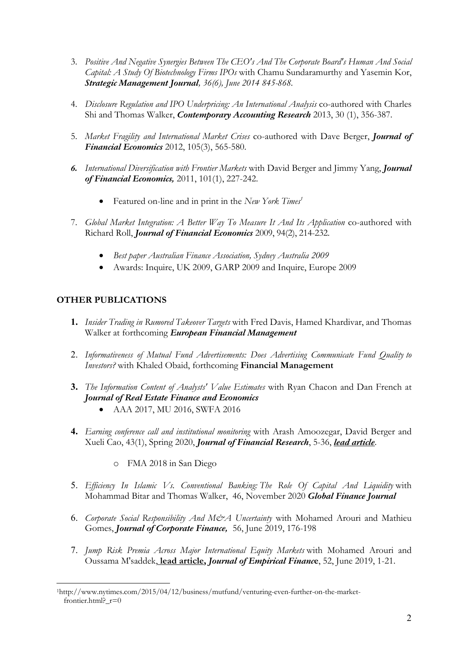- 3. *Positive And Negative Synergies Between The CEO's And The Corporate Board's Human And Social Capital: A Study Of Biotechnology Firms IPOs* with Chamu Sundaramurthy and Yasemin Kor, *Strategic Management Journal, 36(6), June 2014 845-868.*
- 4. *Disclosure Regulation and IPO Underpricing: An International Analysis* co-authored with Charles Shi and Thomas Walker, *Contemporary Accounting Research* 2013, 30 (1), 356-387.
- 5. *Market Fragility and International Market Crises* co-authored with Dave Berger, *Journal of Financial Economics* 2012, 105(3), 565-580.
- *6. International Diversification with Frontier Markets* with David Berger and Jimmy Yang, *Journal of Financial Economics,* 2011, 101(1), 227-242.
	- Featured on-line and in print in the *New York Times<sup>1</sup>*
- 7. *Global Market Integration: A Better Way To Measure It And Its Application* co-authored with Richard Roll, *Journal of Financial Economics* 2009, 94(2), 214-232.
	- *Best paper Australian Finance Association, Sydney Australia 2009*
	- Awards: Inquire, UK 2009, GARP 2009 and Inquire, Europe 2009

## **OTHER PUBLICATIONS**

- **1.** *Insider Trading in Rumored Takeover Targets* with Fred Davis, Hamed Khardivar, and Thomas Walker at forthcoming *European Financial Management*
- 2. *Informativeness of Mutual Fund Advertisements: Does Advertising Communicate Fund Quality to Investors?* with Khaled Obaid, forthcoming **Financial Management**
- **3.** *The Information Content of Analysts' Value Estimates* with Ryan Chacon and Dan French at *Journal of Real Estate Finance and Economics*
	- AAA 2017, MU 2016, SWFA 2016
- **4.** *Earning conference call and institutional monitoring* with Arash Amoozegar, David Berger and Xueli Cao, 43(1), Spring 2020, *Journal of Financial Research*, 5-36, *lead article*.
	- o FMA 2018 in San Diego
- 5. *Efficiency In Islamic Vs. Conventional Banking: The Role Of Capital And Liquidity* with Mohammad Bitar and Thomas Walker, 46, November 2020 *Global Finance Journal*
- 6. *Corporate Social Responsibility And M&A Uncertainty* with Mohamed Arouri and Mathieu Gomes, *Journal of Corporate Finance,* 56, June 2019, 176-198
- 7. *Jump Risk Premia Across Major International Equity Markets* with Mohamed Arouri and Oussama M'saddek, **lead article,** *Journal of Empirical Financ***e**, 52, June 2019, 1-21.

<sup>1</sup>http://www.nytimes.com/2015/04/12/business/mutfund/venturing-even-further-on-the-marketfrontier.html?  $r=0$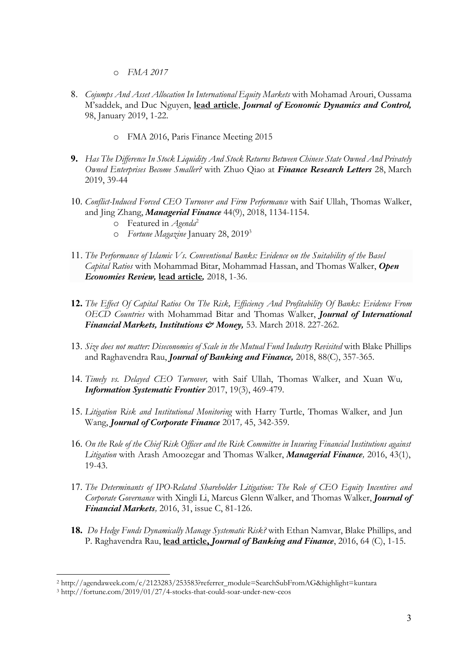- o *FMA 2017*
- 8. *Cojumps And Asset Allocation In International Equity Markets* with Mohamad Arouri, Oussama M'saddek, and Duc Nguyen, **lead article**, *Journal of Economic Dynamics and Control,*  98, January 2019, 1-22.
	- o FMA 2016, Paris Finance Meeting 2015
- **9.** *Has The Difference In Stock Liquidity And Stock Returns Between Chinese State Owned And Privately Owned Enterprises Become Smaller?* with Zhuo Qiao at *Finance Research Letters* 28, March 2019, 39-44
- 10. *Conflict-Induced Forced CEO Turnover and Firm Performance* with Saif Ullah, Thomas Walker, and Jing Zhang, *Managerial Finance* 44(9), 2018, 1134-1154.
	- o Featured in *Agenda*<sup>2</sup>
	- o *Fortune Magazine* January 28, 20193
- 11. *The Performance of Islamic Vs. Conventional Banks: Evidence on the Suitability of the Basel Capital Ratios* with Mohammad Bitar, Mohammad Hassan, and Thomas Walker, *Open Economies Review,* **lead article***,* 2018, 1-36.
- **12.** *The Effect Of Capital Ratios On The Risk, Efficiency And Profitability Of Banks: Evidence From OECD Countries* with Mohammad Bitar and Thomas Walker, *Journal of International Financial Markets, Institutions & Money,* 53. March 2018. 227-262.
- 13. *Size does not matter: Diseconomies of Scale in the Mutual Fund Industry Revisited* with Blake Phillips and Raghavendra Rau, *Journal of Banking and Finance,* 2018, 88(C), 357-365.
- 14. *Timely vs. Delayed CEO Turnover,* with Saif Ullah, Thomas Walker, and Xuan Wu*, Information Systematic Frontier* 2017, 19(3), 469-479.
- 15. *Litigation Risk and Institutional Monitoring* with Harry Turtle, Thomas Walker, and Jun Wang, *Journal of Corporate Finance* 2017*,* 45, 342-359.
- 16. *On the Role of the Chief Risk Officer and the Risk Committee in Insuring Financial Institutions against Litigation* with Arash Amoozegar and Thomas Walker, *Managerial Finance,* 2016, 43(1), 19-43.
- 17. *The Determinants of IPO-Related Shareholder Litigation: The Role of CEO Equity Incentives and Corporate Governance* with Xingli Li, Marcus Glenn Walker, and Thomas Walker, *Journal of Financial Markets,* 2016, 31, issue C, 81-126.
- **18.** *Do Hedge Funds Dynamically Manage Systematic Risk?* with Ethan Namvar, Blake Phillips, and P. Raghavendra Rau, **lead article,** *Journal of Banking and Finance*, 2016, 64 (C), 1-15.

<sup>2</sup> http://agendaweek.com/c/2123283/253583?referrer\_module=SearchSubFromAG&highlight=kuntara

<sup>3</sup> http://fortune.com/2019/01/27/4-stocks-that-could-soar-under-new-ceos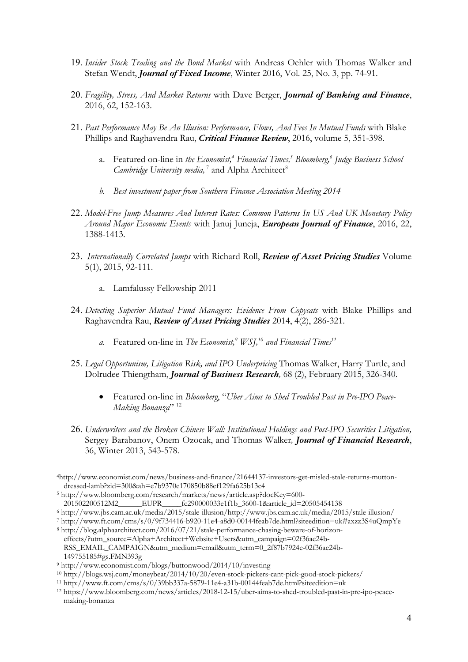- 19. *Insider Stock Trading and the Bond Market* with Andreas Oehler with Thomas Walker and Stefan Wendt, *Journal of Fixed Income*, Winter 2016, Vol. 25, No. 3, pp. 74-91.
- 20. *Fragility, Stress, And Market Returns* with Dave Berger, *Journal of Banking and Finance*, 2016, 62, 152-163.
- 21. *Past Performance May Be An Illusion: Performance, Flows, And Fees In Mutual Funds* with Blake Phillips and Raghavendra Rau, *Critical Finance Review*, 2016, volume 5, 351-398.
	- a. Featured on-line in *the Economist*,<sup>4</sup> *Financial Times*,<sup>5</sup> *Bloomberg*,<sup>6</sup> *Judge Business School Cambridge University media*,<sup>7</sup> and Alpha Architect<sup>8</sup>
	- *b. Best investment paper from Southern Finance Association Meeting 2014*
- 22. *Model-Free Jump Measures And Interest Rates: Common Patterns In US And UK Monetary Policy Around Major Economic Events* with Januj Juneja, *European Journal of Finance*, 2016, 22, 1388-1413.
- 23. *Internationally Correlated Jumps* with Richard Roll, *Review of Asset Pricing Studies* Volume 5(1), 2015, 92-111.
	- a. Lamfalussy Fellowship 2011
- 24. *Detecting Superior Mutual Fund Managers: Evidence From Copycats* with Blake Phillips and Raghavendra Rau, *Review of Asset Pricing Studies* 2014, 4(2), 286-321.
	- *a.* Featured on-line in *The Economist,9 WSJ,10 and Financial Times11*
- 25. *Legal Opportunism, Litigation Risk, and IPO Underpricing* Thomas Walker, Harry Turtle, and Dolrudee Thiengtham, *Journal of Business Research,* 68 (2), February 2015, 326-340.
	- Featured on-line in *Bloomberg*, "*Uber Aims to Shed Troubled Past in Pre-IPO Peace-Making Bonanza*" <sup>12</sup>
- 26. *Underwriters and the Broken Chinese Wall: Institutional Holdings and Post-IPO Securities Litigation,*  Sergey Barabanov, Onem Ozocak, and Thomas Walker*, Journal of Financial Research*, 36, Winter 2013, 543-578.

<sup>6</sup> http://www.jbs.cam.ac.uk/media/2015/stale-illusion/http://www.jbs.cam.ac.uk/media/2015/stale-illusion/

effects/?utm\_source=Alpha+Architect+Website+Users&utm\_campaign=02f36ae24b-RSS\_EMAIL\_CAMPAIGN&utm\_medium=email&utm\_term=0\_2f87b7924e-02f36ae24b-149755185#gs.FMN393g

<sup>4</sup>http://www.economist.com/news/business-and-finance/21644137-investors-get-misled-stale-returns-muttondressed-lamb?zid=300&ah=e7b9370e170850b88ef129fa625b13c4

<sup>5</sup> http://www.bloomberg.com/research/markets/news/article.asp?docKey=600-

<sup>201502200512</sup>M2\_\_\_\_\_\_EUPR\_\_\_\_\_fc290000033e1f1b\_3600-1&article\_id=20505454138

<sup>7</sup> http://www.ft.com/cms/s/0/9f734416-b920-11e4-a8d0-00144feab7de.html?siteedition=uk#axzz3S4uQmpYe <sup>8</sup> http://blog.alphaarchitect.com/2016/07/21/stale-performance-chasing-beware-of-horizon-

<sup>9</sup> http://www.economist.com/blogs/buttonwood/2014/10/investing

<sup>10</sup> http://blogs.wsj.com/moneybeat/2014/10/20/even-stock-pickers-cant-pick-good-stock-pickers/

 $11 \text{ http://www.ft.com/cm/s/0/39bb337a-5879-11e4-a31b-00144feab7de.html?siteedition=uk$ 

<sup>12</sup> https://www.bloomberg.com/news/articles/2018-12-15/uber-aims-to-shed-troubled-past-in-pre-ipo-peacemaking-bonanza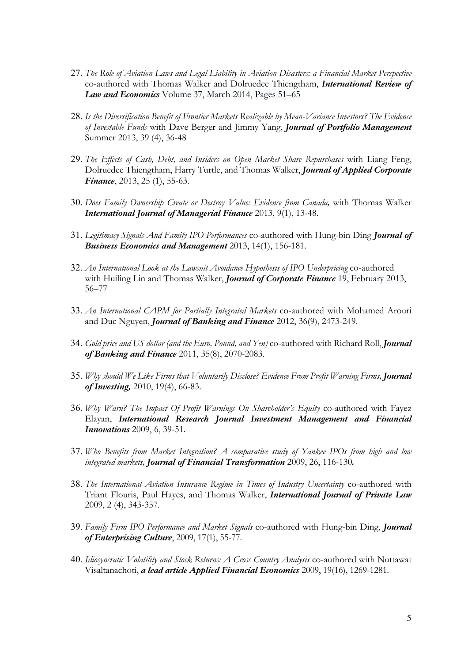- 27. *The Role of Aviation Laws and Legal Liability in Aviation Disasters: a Financial Market Perspective* co-authored with Thomas Walker and Dolruedee Thiengtham, *International Review of Law and Economics* Volume 37, March 2014, Pages 51–65
- 28. *Is the Diversification Benefit of Frontier Markets Realizable by Mean-Variance Investors? The Evidence of Investable Funds* with Dave Berger and Jimmy Yang, *Journal of Portfolio Management* Summer 2013, 39 (4), 36-48
- 29. *The Effects of Cash, Debt, and Insiders on Open Market Share Repurchases* with Liang Feng, Dolruedee Thiengtham, Harry Turtle, and Thomas Walker, *Journal of Applied Corporate Finance*, 2013, 25 (1), 55-63.
- 30. *Does Family Ownership Create or Destroy Value: Evidence from Canada,* with Thomas Walker *International Journal of Managerial Finance* 2013, 9(1), 13-48.
- 31. *Legitimacy Signals And Family IPO Performances* co-authored with Hung-bin Ding *Journal of Business Economics and Management* 2013, 14(1), 156-181.
- 32. *An International Look at the Lawsuit Avoidance Hypothesis of IPO Underpricing* co-authored with Huiling Lin and Thomas Walker, *Journal of Corporate Finance* 19, February 2013, 56–77
- 33. *An International CAPM for Partially Integrated Markets* co-authored with Mohamed Arouri and Duc Nguyen, *Journal of Banking and Finance* 2012, 36(9), 2473-249.
- 34. *Gold price and US dollar (and the Euro, Pound, and Yen)* co-authored with Richard Roll, *Journal of Banking and Finance* 2011, 35(8), 2070-2083.
- 35. *Why should We Like Firms that Voluntarily Disclose? Evidence From Profit Warning Firms, Journal of Investing,* 2010, 19(4), 66-83.
- 36. *Why Warn? The Impact Of Profit Warnings On Shareholder's Equity* co-authored with Fayez Elayan, *International Research Journal Investment Management and Financial Innovations* 2009, 6, 39-51*.*
- 37. *Who Benefits from Market Integration? A comparative study of Yankee IPOs from high and low integrated markets, Journal of Financial Transformation* 2009, 26, 116-130*.*
- 38. *The International Aviation Insurance Regime in Times of Industry Uncertainty* co-authored with Triant Flouris, Paul Hayes, and Thomas Walker, *International Journal of Private Law* 2009, 2 (4), 343-357.
- 39. *Family Firm IPO Performance and Market Signals* co-authored with Hung-bin Ding, *Journal of Enterprising Culture*, 2009, 17(1), 55-77.
- 40. *Idiosyncratic Volatility and Stock Returns: A Cross Country Analysis* co-authored with Nuttawat Visaltanachoti, *a lead article Applied Financial Economics* 2009, 19(16), 1269-1281.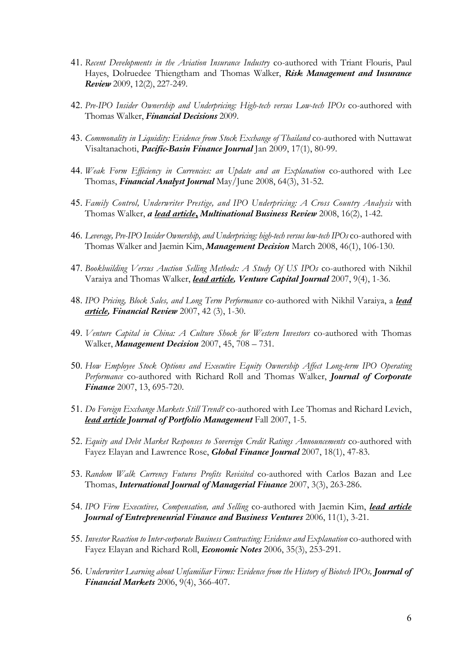- 41. *Recent Developments in the Aviation Insurance Industry* co-authored with Triant Flouris, Paul Hayes, Dolruedee Thiengtham and Thomas Walker, *Risk Management and Insurance Review* 2009, 12(2), 227-249.
- 42. *Pre-IPO Insider Ownership and Underpricing: High-tech versus Low-tech IPOs* co-authored with Thomas Walker, *Financial Decisions* 2009.
- 43. *Commonality in Liquidity: Evidence from Stock Exchange of Thailand* co-authored with Nuttawat Visaltanachoti, *Pacific-Basin Finance Journal* Jan 2009, 17(1), 80-99.
- 44. *Weak Form Efficiency in Currencies: an Update and an Explanation* co-authored with Lee Thomas, *Financial Analyst Journal* May/June 2008, 64(3), 31-52.
- 45. *Family Control, Underwriter Prestige, and IPO Underpricing: A Cross Country Analysis* with Thomas Walker, *a lead article***,** *Multinational Business Review* 2008, 16(2), 1-42.
- 46. *Leverage, Pre-IPO Insider Ownership, and Underpricing: high-tech versus low-tech IPOs* co-authored with Thomas Walker and Jaemin Kim, *Management Decision* March 2008, 46(1), 106-130.
- 47. *Bookbuilding Versus Auction Selling Methods: A Study Of US IPOs* co-authored with Nikhil Varaiya and Thomas Walker, *lead article, Venture Capital Journal* 2007, 9(4), 1-36.
- 48. *IPO Pricing, Block Sales, and Long Term Performance* co-authored with Nikhil Varaiya, a *lead article, Financial Review* 2007, 42 (3), 1-30.
- 49. *Venture Capital in China: A Culture Shock for Western Investors* co-authored with Thomas Walker, *Management Decision* 2007, 45, 708 – 731*.*
- 50. *How Employee Stock Options and Executive Equity Ownership Affect Long-term IPO Operating Performance* co-authored with Richard Roll and Thomas Walker, *Journal of Corporate Finance* 2007, 13, 695-720.
- 51. *Do Foreign Exchange Markets Still Trend?* co-authored with Lee Thomas and Richard Levich, *lead article Journal of Portfolio Management* Fall 2007, 1-5.
- 52. *Equity and Debt Market Responses to Sovereign Credit Ratings Announcements* co-authored with Fayez Elayan and Lawrence Rose, *Global Finance Journal* 2007, 18(1), 47-83.
- 53. *Random Walk Currency Futures Profits Revisited* co-authored with Carlos Bazan and Lee Thomas, *International Journal of Managerial Finance* 2007, 3(3), 263-286.
- 54. *IPO Firm Executives, Compensation, and Selling* co-authored with Jaemin Kim, *lead article Journal of Entrepreneurial Finance and Business Ventures* 2006, 11(1), 3-21.
- 55. *Investor Reaction to Inter-corporate Business Contracting: Evidence and Explanation* co-authored with Fayez Elayan and Richard Roll, *Economic Notes* 2006, 35(3), 253-291.
- 56. *Underwriter Learning about Unfamiliar Firms: Evidence from the History of Biotech IPOs, Journal of Financial Markets* 2006, 9(4), 366-407.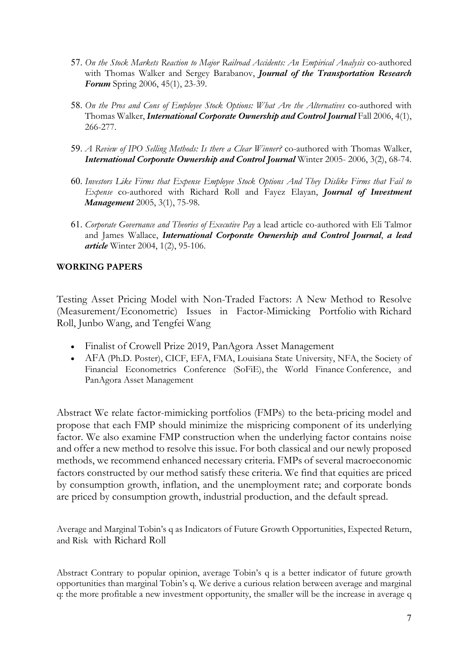- 57. *On the Stock Markets Reaction to Major Railroad Accidents: An Empirical Analysis* co-authored with Thomas Walker and Sergey Barabanov, *Journal of the Transportation Research Forum* Spring 2006, 45(1), 23-39.
- 58. *On the Pros and Cons of Employee Stock Options: What Are the Alternatives* co-authored with Thomas Walker, *International Corporate Ownership and Control Journal* Fall 2006, 4(1), 266-277.
- 59. *A Review of IPO Selling Methods: Is there a Clear Winner?* co-authored with Thomas Walker, *International Corporate Ownership and Control Journal Winter 2005- 2006, 3(2), 68-74.*
- 60. *Investors Like Firms that Expense Employee Stock Options And They Dislike Firms that Fail to Expense* co-authored with Richard Roll and Fayez Elayan, *Journal of Investment Management* 2005, 3(1), 75-98.
- 61. *Corporate Governance and Theories of Executive Pay* a lead article co-authored with Eli Talmor and James Wallace, *International Corporate Ownership and Control Journal*, *a lead article* Winter 2004, 1(2), 95-106.

## **WORKING PAPERS**

Testing Asset Pricing Model with Non-Traded Factors: A New Method to Resolve (Measurement/Econometric) Issues in Factor-Mimicking Portfolio with Richard Roll, Junbo Wang, and Tengfei Wang

- Finalist of Crowell Prize 2019, PanAgora Asset Management
- AFA (Ph.D. Poster), CICF, EFA, FMA, Louisiana State University, NFA, the Society of Financial Econometrics Conference (SoFiE), the World Finance Conference, and PanAgora Asset Management

Abstract We relate factor-mimicking portfolios (FMPs) to the beta-pricing model and propose that each FMP should minimize the mispricing component of its underlying factor. We also examine FMP construction when the underlying factor contains noise and offer a new method to resolve this issue. For both classical and our newly proposed methods, we recommend enhanced necessary criteria. FMPs of several macroeconomic factors constructed by our method satisfy these criteria. We find that equities are priced by consumption growth, inflation, and the unemployment rate; and corporate bonds are priced by consumption growth, industrial production, and the default spread.

Average and Marginal Tobin's q as Indicators of Future Growth Opportunities, Expected Return, and Risk with Richard Roll

Abstract Contrary to popular opinion, average Tobin's q is a better indicator of future growth opportunities than marginal Tobin's q. We derive a curious relation between average and marginal q: the more profitable a new investment opportunity, the smaller will be the increase in average q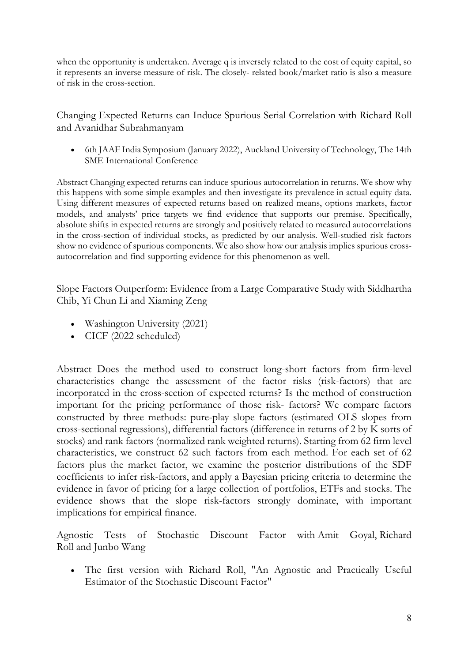when the opportunity is undertaken. Average q is inversely related to the cost of equity capital, so it represents an inverse measure of risk. The closely- related book/market ratio is also a measure of risk in the cross-section.

Changing Expected Returns can Induce Spurious Serial Correlation with Richard Roll and Avanidhar Subrahmanyam

• 6th JAAF India Symposium (January 2022), Auckland University of Technology, The 14th SME International Conference

Abstract Changing expected returns can induce spurious autocorrelation in returns. We show why this happens with some simple examples and then investigate its prevalence in actual equity data. Using different measures of expected returns based on realized means, options markets, factor models, and analysts' price targets we find evidence that supports our premise. Specifically, absolute shifts in expected returns are strongly and positively related to measured autocorrelations in the cross-section of individual stocks, as predicted by our analysis. Well-studied risk factors show no evidence of spurious components. We also show how our analysis implies spurious crossautocorrelation and find supporting evidence for this phenomenon as well.

Slope Factors Outperform: Evidence from a Large Comparative Study with Siddhartha Chib, Yi Chun Li and Xiaming Zeng

- Washington University (2021)
- CICF (2022 scheduled)

Abstract Does the method used to construct long-short factors from firm-level characteristics change the assessment of the factor risks (risk-factors) that are incorporated in the cross-section of expected returns? Is the method of construction important for the pricing performance of those risk- factors? We compare factors constructed by three methods: pure-play slope factors (estimated OLS slopes from cross-sectional regressions), differential factors (difference in returns of 2 by K sorts of stocks) and rank factors (normalized rank weighted returns). Starting from 62 firm level characteristics, we construct 62 such factors from each method. For each set of 62 factors plus the market factor, we examine the posterior distributions of the SDF coefficients to infer risk-factors, and apply a Bayesian pricing criteria to determine the evidence in favor of pricing for a large collection of portfolios, ETFs and stocks. The evidence shows that the slope risk-factors strongly dominate, with important implications for empirical finance.

Agnostic Tests of Stochastic Discount Factor with Amit Goyal, Richard Roll and Junbo Wang

• The first version with Richard Roll, "An Agnostic and Practically Useful Estimator of the Stochastic Discount Factor"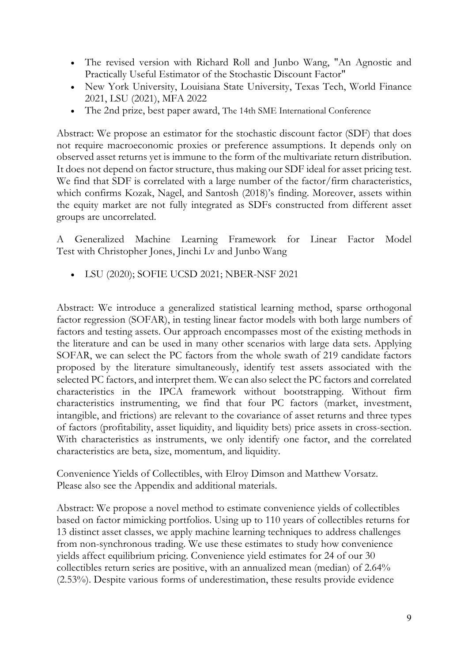- The revised version with Richard Roll and Junbo Wang, "An Agnostic and Practically Useful Estimator of the Stochastic Discount Factor"
- New York University, Louisiana State University, Texas Tech, World Finance 2021, LSU (2021), MFA 2022
- The 2nd prize, best paper award, The 14th SME International Conference

Abstract: We propose an estimator for the stochastic discount factor (SDF) that does not require macroeconomic proxies or preference assumptions. It depends only on observed asset returns yet is immune to the form of the multivariate return distribution. It does not depend on factor structure, thus making our SDF ideal for asset pricing test. We find that SDF is correlated with a large number of the factor/firm characteristics, which confirms Kozak, Nagel, and Santosh (2018)'s finding. Moreover, assets within the equity market are not fully integrated as SDFs constructed from different asset groups are uncorrelated.

A Generalized Machine Learning Framework for Linear Factor Model Test with Christopher Jones, Jinchi Lv and Junbo Wang

• LSU (2020); SOFIE UCSD 2021; NBER-NSF 2021

Abstract: We introduce a generalized statistical learning method, sparse orthogonal factor regression (SOFAR), in testing linear factor models with both large numbers of factors and testing assets. Our approach encompasses most of the existing methods in the literature and can be used in many other scenarios with large data sets. Applying SOFAR, we can select the PC factors from the whole swath of 219 candidate factors proposed by the literature simultaneously, identify test assets associated with the selected PC factors, and interpret them. We can also select the PC factors and correlated characteristics in the IPCA framework without bootstrapping. Without firm characteristics instrumenting, we find that four PC factors (market, investment, intangible, and frictions) are relevant to the covariance of asset returns and three types of factors (profitability, asset liquidity, and liquidity bets) price assets in cross-section. With characteristics as instruments, we only identify one factor, and the correlated characteristics are beta, size, momentum, and liquidity.

Convenience Yields of Collectibles, with Elroy Dimson and Matthew Vorsatz. Please also see the Appendix and additional materials.

Abstract: We propose a novel method to estimate convenience yields of collectibles based on factor mimicking portfolios. Using up to 110 years of collectibles returns for 13 distinct asset classes, we apply machine learning techniques to address challenges from non-synchronous trading. We use these estimates to study how convenience yields affect equilibrium pricing. Convenience yield estimates for 24 of our 30 collectibles return series are positive, with an annualized mean (median) of 2.64% (2.53%). Despite various forms of underestimation, these results provide evidence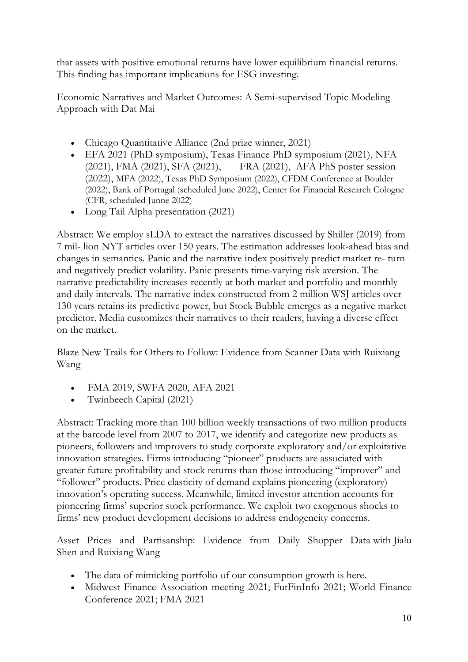that assets with positive emotional returns have lower equilibrium financial returns. This finding has important implications for ESG investing.

Economic Narratives and Market Outcomes: A Semi-supervised Topic Modeling Approach with Dat Mai

- Chicago Quantitative Alliance (2nd prize winner, 2021)
- EFA 2021 (PhD symposium), Texas Finance PhD symposium (2021), NFA (2021), FMA (2021), SFA (2021), FRA (2021), AFA PhS poster session (2022), MFA (2022), Texas PhD Symposium (2022), CFDM Conference at Boulder (2022), Bank of Portugal (scheduled June 2022), Center for Financial Research Cologne (CFR, scheduled Junne 2022)
- Long Tail Alpha presentation (2021)

Abstract: We employ sLDA to extract the narratives discussed by Shiller (2019) from 7 mil- lion NYT articles over 150 years. The estimation addresses look-ahead bias and changes in semantics. Panic and the narrative index positively predict market re- turn and negatively predict volatility. Panic presents time-varying risk aversion. The narrative predictability increases recently at both market and portfolio and monthly and daily intervals. The narrative index constructed from 2 million WSJ articles over 130 years retains its predictive power, but Stock Bubble emerges as a negative market predictor. Media customizes their narratives to their readers, having a diverse effect on the market.

Blaze New Trails for Others to Follow: Evidence from Scanner Data with Ruixiang Wang

- FMA 2019, SWFA 2020, AFA 2021
- Twinbeech Capital (2021)

Abstract: Tracking more than 100 billion weekly transactions of two million products at the barcode level from 2007 to 2017, we identify and categorize new products as pioneers, followers and improvers to study corporate exploratory and/or exploitative innovation strategies. Firms introducing "pioneer" products are associated with greater future profitability and stock returns than those introducing "improver" and "follower" products. Price elasticity of demand explains pioneering (exploratory) innovation's operating success. Meanwhile, limited investor attention accounts for pioneering firms' superior stock performance. We exploit two exogenous shocks to firms' new product development decisions to address endogeneity concerns.

Asset Prices and Partisanship: Evidence from Daily Shopper Data with Jialu Shen and Ruixiang Wang

- The data of mimicking portfolio of our consumption growth is here.
- Midwest Finance Association meeting 2021; FutFinInfo 2021; World Finance Conference 2021; FMA 2021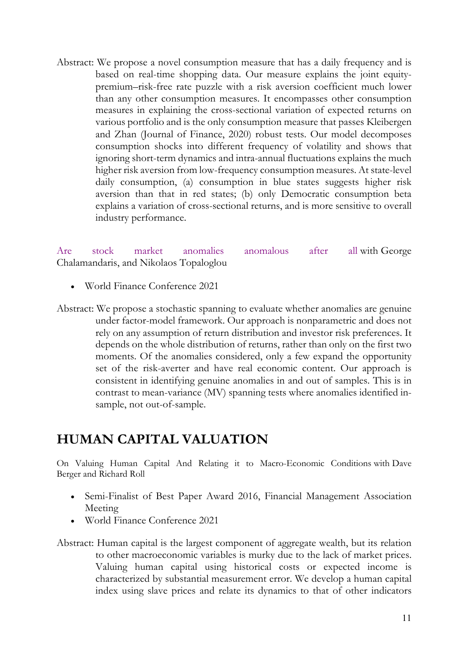Abstract: We propose a novel consumption measure that has a daily frequency and is based on real-time shopping data. Our measure explains the joint equitypremium–risk-free rate puzzle with a risk aversion coefficient much lower than any other consumption measures. It encompasses other consumption measures in explaining the cross-sectional variation of expected returns on various portfolio and is the only consumption measure that passes Kleibergen and Zhan (Journal of Finance, 2020) robust tests. Our model decomposes consumption shocks into different frequency of volatility and shows that ignoring short-term dynamics and intra-annual fluctuations explains the much higher risk aversion from low-frequency consumption measures. At state-level daily consumption, (a) consumption in blue states suggests higher risk aversion than that in red states; (b) only Democratic consumption beta explains a variation of cross-sectional returns, and is more sensitive to overall industry performance.

Are stock market anomalies anomalous after all with George Chalamandaris, and Nikolaos Topaloglou

- World Finance Conference 2021
- Abstract: We propose a stochastic spanning to evaluate whether anomalies are genuine under factor-model framework. Our approach is nonparametric and does not rely on any assumption of return distribution and investor risk preferences. It depends on the whole distribution of returns, rather than only on the first two moments. Of the anomalies considered, only a few expand the opportunity set of the risk-averter and have real economic content. Our approach is consistent in identifying genuine anomalies in and out of samples. This is in contrast to mean-variance (MV) spanning tests where anomalies identified insample, not out-of-sample.

# **HUMAN CAPITAL VALUATION**

On Valuing Human Capital And Relating it to Macro-Economic Conditions with Dave Berger and Richard Roll

- Semi-Finalist of Best Paper Award 2016, Financial Management Association Meeting
- World Finance Conference 2021

Abstract: Human capital is the largest component of aggregate wealth, but its relation to other macroeconomic variables is murky due to the lack of market prices. Valuing human capital using historical costs or expected income is characterized by substantial measurement error. We develop a human capital index using slave prices and relate its dynamics to that of other indicators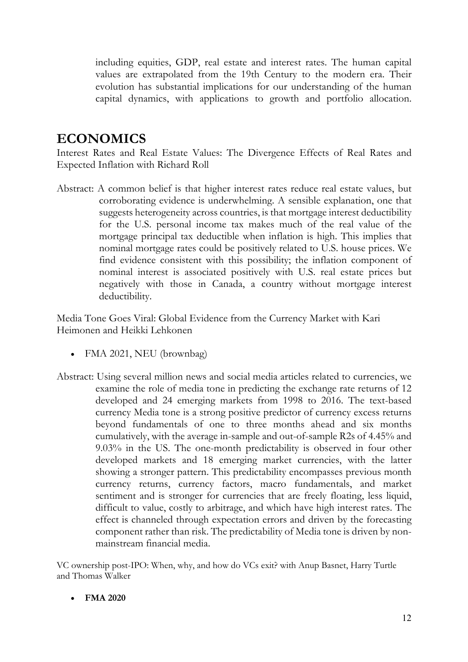including equities, GDP, real estate and interest rates. The human capital values are extrapolated from the 19th Century to the modern era. Their evolution has substantial implications for our understanding of the human capital dynamics, with applications to growth and portfolio allocation.

# **ECONOMICS**

Interest Rates and Real Estate Values: The Divergence Effects of Real Rates and Expected Inflation with Richard Roll

Abstract: A common belief is that higher interest rates reduce real estate values, but corroborating evidence is underwhelming. A sensible explanation, one that suggests heterogeneity across countries, is that mortgage interest deductibility for the U.S. personal income tax makes much of the real value of the mortgage principal tax deductible when inflation is high. This implies that nominal mortgage rates could be positively related to U.S. house prices. We find evidence consistent with this possibility; the inflation component of nominal interest is associated positively with U.S. real estate prices but negatively with those in Canada, a country without mortgage interest deductibility.

Media Tone Goes Viral: Global Evidence from the Currency Market with Kari Heimonen and Heikki Lehkonen

- FMA 2021, NEU (brownbag)
- Abstract: Using several million news and social media articles related to currencies, we examine the role of media tone in predicting the exchange rate returns of 12 developed and 24 emerging markets from 1998 to 2016. The text-based currency Media tone is a strong positive predictor of currency excess returns beyond fundamentals of one to three months ahead and six months cumulatively, with the average in-sample and out-of-sample R2s of 4.45% and 9.03% in the US. The one-month predictability is observed in four other developed markets and 18 emerging market currencies, with the latter showing a stronger pattern. This predictability encompasses previous month currency returns, currency factors, macro fundamentals, and market sentiment and is stronger for currencies that are freely floating, less liquid, difficult to value, costly to arbitrage, and which have high interest rates. The effect is channeled through expectation errors and driven by the forecasting component rather than risk. The predictability of Media tone is driven by nonmainstream financial media.

VC ownership post-IPO: When, why, and how do VCs exit? with Anup Basnet, Harry Turtle and Thomas Walker

• **FMA 2020**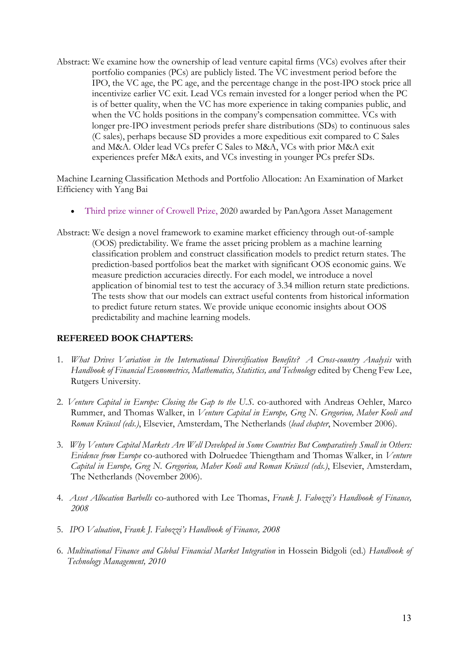Abstract: We examine how the ownership of lead venture capital firms (VCs) evolves after their portfolio companies (PCs) are publicly listed. The VC investment period before the IPO, the VC age, the PC age, and the percentage change in the post-IPO stock price all incentivize earlier VC exit. Lead VCs remain invested for a longer period when the PC is of better quality, when the VC has more experience in taking companies public, and when the VC holds positions in the company's compensation committee. VCs with longer pre-IPO investment periods prefer share distributions (SDs) to continuous sales (C sales), perhaps because SD provides a more expeditious exit compared to C Sales and M&A. Older lead VCs prefer C Sales to M&A, VCs with prior M&A exit experiences prefer M&A exits, and VCs investing in younger PCs prefer SDs.

Machine Learning Classification Methods and Portfolio Allocation: An Examination of Market Efficiency with Yang Bai

- Third prize winner of Crowell Prize, 2020 awarded by PanAgora Asset Management
- Abstract: We design a novel framework to examine market efficiency through out-of-sample (OOS) predictability. We frame the asset pricing problem as a machine learning classification problem and construct classification models to predict return states. The prediction-based portfolios beat the market with significant OOS economic gains. We measure prediction accuracies directly. For each model, we introduce a novel application of binomial test to test the accuracy of 3.34 million return state predictions. The tests show that our models can extract useful contents from historical information to predict future return states. We provide unique economic insights about OOS predictability and machine learning models.

## **REFEREED BOOK CHAPTERS:**

- 1. *What Drives Variation in the International Diversification Benefits? A Cross-country Analysis* with *Handbook of Financial Econometrics, Mathematics, Statistics, and Technology* edited by Cheng Few Lee, Rutgers University.
- 2. *Venture Capital in Europe: Closing the Gap to the U.S.* co-authored with Andreas Oehler, Marco Rummer, and Thomas Walker, in *Venture Capital in Europe, Greg N. Gregoriou, Maher Kooli and Roman Kräussl (eds.)*, Elsevier, Amsterdam, The Netherlands (*lead chapter*, November 2006).
- 3. *Why Venture Capital Markets Are Well Developed in Some Countries But Comparatively Small in Others: Evidence from Europe* co-authored with Dolruedee Thiengtham and Thomas Walker, in *Venture Capital in Europe, Greg N. Gregoriou, Maher Kooli and Roman Kräussl (eds.)*, Elsevier, Amsterdam, The Netherlands (November 2006).
- 4. *Asset Allocation Barbells* co-authored with Lee Thomas, *Frank J. Fabozzi's Handbook of Finance, 2008*
- 5. *IPO Valuation*, *Frank J. Fabozzi's Handbook of Finance, 2008*
- 6. *Multinational Finance and Global Financial Market Integration* in Hossein Bidgoli (ed.) *Handbook of Technology Management, 2010*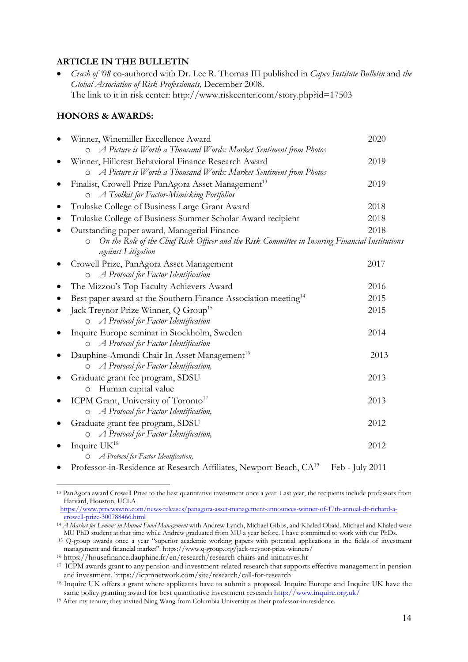#### **ARTICLE IN THE BULLETIN**

• *Crash of '08* co-authored with Dr. Lee R. Thomas III published in *Capco Institute Bulletin* and *the Global Association of Risk Professionals,* December 2008. The link to it in risk center: http://www.riskcenter.com/story.php?id=17503

#### **HONORS & AWARDS:**

|           | Winner, Winemiller Excellence Award                                                                                              | 2020 |
|-----------|----------------------------------------------------------------------------------------------------------------------------------|------|
|           | A Picture is Worth a Thousand Words: Market Sentiment from Photos                                                                |      |
|           | Winner, Hillcrest Behavioral Finance Research Award                                                                              | 2019 |
|           | A Picture is Worth a Thousand Words: Market Sentiment from Photos<br>$\circ$                                                     |      |
| ٠         | Finalist, Crowell Prize PanAgora Asset Management <sup>13</sup>                                                                  | 2019 |
|           | O A Toolkit for Factor-Mimicking Portfolios                                                                                      |      |
| $\bullet$ | Trulaske College of Business Large Grant Award                                                                                   | 2018 |
|           | Trulaske College of Business Summer Scholar Award recipient                                                                      | 2018 |
|           | Outstanding paper award, Managerial Finance                                                                                      | 2018 |
|           | On the Role of the Chief Risk Officer and the Risk Committee in Insuring Financial Institutions<br>$\circ$<br>against Litigation |      |
|           | Crowell Prize, PanAgora Asset Management                                                                                         | 2017 |
|           | A Protocol for Factor Identification<br>$\circ$                                                                                  |      |
| $\bullet$ | The Mizzou's Top Faculty Achievers Award                                                                                         | 2016 |
| ٠         | Best paper award at the Southern Finance Association meeting <sup>14</sup>                                                       | 2015 |
| $\bullet$ | Jack Treynor Prize Winner, Q Group <sup>15</sup>                                                                                 | 2015 |
|           | O A Protocol for Factor Identification                                                                                           |      |
| $\bullet$ | Inquire Europe seminar in Stockholm, Sweden                                                                                      | 2014 |
|           | A Protocol for Factor Identification<br>$\circ$                                                                                  |      |
|           | Dauphine-Amundi Chair In Asset Management <sup>16</sup>                                                                          | 2013 |
|           | A Protocol for Factor Identification,                                                                                            |      |
| ٠         | Graduate grant fee program, SDSU                                                                                                 | 2013 |
|           | Human capital value<br>$\circ$                                                                                                   |      |
| ٠         | ICPM Grant, University of Toronto <sup>17</sup>                                                                                  | 2013 |
|           | A Protocol for Factor Identification,                                                                                            |      |
|           | Graduate grant fee program, SDSU                                                                                                 | 2012 |
|           | A Protocol for Factor Identification,                                                                                            |      |
| $\bullet$ | Inquire UK <sup>18</sup>                                                                                                         | 2012 |
|           | A Protocol for Factor Identification,                                                                                            |      |
|           | Professor-in-Residence at Research Affiliates, Newport Beach, CA <sup>19</sup><br>Feb - July 2011                                |      |

<sup>13</sup> PanAgora award Crowell Prize to the best quantitative investment once a year. Last year, the recipients include professors from Harvard, Houston, UCLA

https://www.prnewswire.com/news-releases/panagora-asset-management-announces-winner-of-17th-annual-dr-richard-acrowell-prize-300788466.html

<sup>14</sup> *A Market for Lemons in Mutual Fund Management* with Andrew Lynch, Michael Gibbs, and Khaled Obaid. Michael and Khaled were MU PhD student at that time while Andrew graduated from MU a year before. I have committed to work with our PhDs.

<sup>15</sup> Q-group awards once a year "superior academic working papers with potential applications in the fields of investment management and financial market". https://www.q-group.org/jack-treynor-prize-winners/

<sup>16</sup> https://housefinance.dauphine.fr/en/research/research-chairs-and-initiatives.ht

<sup>&</sup>lt;sup>17</sup> ICPM awards grant to any pension-and investment-related research that supports effective management in pension and investment. https://icpmnetwork.com/site/research/call-for-research

<sup>18</sup> Inquire UK offers a grant where applicants have to submit a proposal. Inquire Europe and Inquire UK have the same policy granting award for best quantitative investment research http://www.inquire.org.uk/

<sup>19</sup> After my tenure, they invited Ning Wang from Columbia University as their professor-in-residence.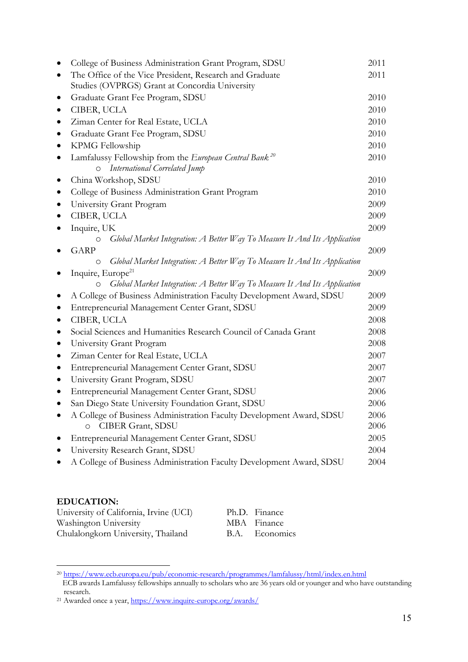|           | College of Business Administration Grant Program, SDSU                               | 2011 |
|-----------|--------------------------------------------------------------------------------------|------|
|           | The Office of the Vice President, Research and Graduate                              | 2011 |
|           | Studies (OVPRGS) Grant at Concordia University                                       |      |
|           | Graduate Grant Fee Program, SDSU                                                     | 2010 |
|           | CIBER, UCLA                                                                          | 2010 |
|           | Ziman Center for Real Estate, UCLA                                                   | 2010 |
|           | Graduate Grant Fee Program, SDSU                                                     | 2010 |
|           | KPMG Fellowship                                                                      | 2010 |
|           | Lamfalussy Fellowship from the European Central Bank <sup>20</sup>                   | 2010 |
|           | International Correlated Jump<br>$\circ$                                             |      |
|           | China Workshop, SDSU                                                                 | 2010 |
| $\bullet$ | College of Business Administration Grant Program                                     | 2010 |
|           | University Grant Program                                                             | 2009 |
|           | CIBER, UCLA                                                                          | 2009 |
|           | Inquire, UK                                                                          | 2009 |
|           | Global Market Integration: A Better Way To Measure It And Its Application<br>$\circ$ |      |
|           | <b>GARP</b>                                                                          | 2009 |
|           | Global Market Integration: A Better Way To Measure It And Its Application<br>$\circ$ |      |
| ٠         | Inquire, Europe <sup>21</sup>                                                        | 2009 |
|           | Global Market Integration: A Better Way To Measure It And Its Application<br>$\circ$ |      |
|           | A College of Business Administration Faculty Development Award, SDSU                 | 2009 |
|           | Entrepreneurial Management Center Grant, SDSU                                        | 2009 |
|           | CIBER, UCLA                                                                          | 2008 |
|           | Social Sciences and Humanities Research Council of Canada Grant                      | 2008 |
| $\bullet$ | University Grant Program                                                             | 2008 |
|           | Ziman Center for Real Estate, UCLA                                                   | 2007 |
| $\bullet$ | Entrepreneurial Management Center Grant, SDSU                                        | 2007 |
| $\bullet$ | University Grant Program, SDSU                                                       | 2007 |
|           | Entrepreneurial Management Center Grant, SDSU                                        | 2006 |
|           | San Diego State University Foundation Grant, SDSU                                    | 2006 |
|           | A College of Business Administration Faculty Development Award, SDSU                 | 2006 |
|           | CIBER Grant, SDSU<br>$\circ$                                                         | 2006 |
|           | Entrepreneurial Management Center Grant, SDSU                                        | 2005 |
|           | University Research Grant, SDSU                                                      | 2004 |
|           | A College of Business Administration Faculty Development Award, SDSU                 | 2004 |
|           |                                                                                      |      |

## **EDUCATION:**

| University of California, Irvine (UCI) | Ph.D. Finance  |
|----------------------------------------|----------------|
| Washington University                  | MBA Finance    |
| Chulalongkorn University, Thailand     | B.A. Economics |

<sup>20</sup> https://www.ecb.europa.eu/pub/economic-research/programmes/lamfalussy/html/index.en.html

ECB awards Lamfalussy fellowships annually to scholars who are 36 years old or younger and who have outstanding research.

<sup>21</sup> Awarded once a year, https://www.inquire-europe.org/awards/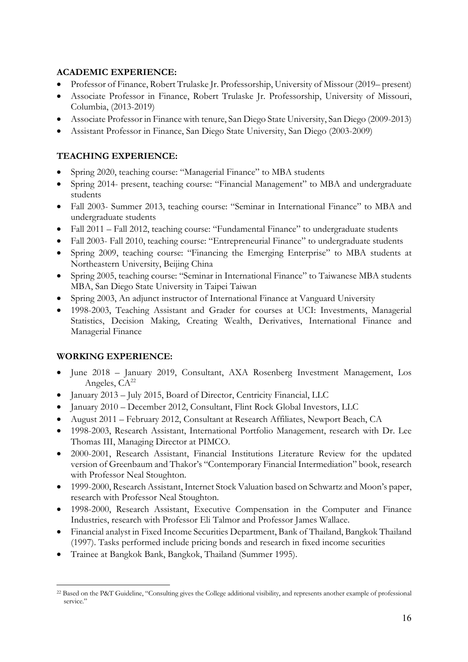## **ACADEMIC EXPERIENCE:**

- Professor of Finance, Robert Trulaske Jr. Professorship, University of Missour (2019– present)
- Associate Professor in Finance, Robert Trulaske Jr. Professorship, University of Missouri, Columbia, (2013-2019)
- Associate Professor in Finance with tenure, San Diego State University, San Diego (2009-2013)
- Assistant Professor in Finance, San Diego State University, San Diego (2003-2009)

# **TEACHING EXPERIENCE:**

- Spring 2020, teaching course: "Managerial Finance" to MBA students
- Spring 2014- present, teaching course: "Financial Management" to MBA and undergraduate students
- Fall 2003- Summer 2013, teaching course: "Seminar in International Finance" to MBA and undergraduate students
- Fall 2011 Fall 2012, teaching course: "Fundamental Finance" to undergraduate students
- Fall 2003- Fall 2010, teaching course: "Entrepreneurial Finance" to undergraduate students
- Spring 2009, teaching course: "Financing the Emerging Enterprise" to MBA students at Northeastern University, Beijing China
- Spring 2005, teaching course: "Seminar in International Finance" to Taiwanese MBA students MBA, San Diego State University in Taipei Taiwan
- Spring 2003, An adjunct instructor of International Finance at Vanguard University
- 1998-2003, Teaching Assistant and Grader for courses at UCI: Investments, Managerial Statistics, Decision Making, Creating Wealth, Derivatives, International Finance and Managerial Finance

# **WORKING EXPERIENCE:**

- June 2018 January 2019, Consultant, AXA Rosenberg Investment Management, Los Angeles, CA<sup>22</sup>
- January 2013 July 2015, Board of Director, Centricity Financial, LLC
- January 2010 December 2012, Consultant, Flint Rock Global Investors, LLC
- August 2011 February 2012, Consultant at Research Affiliates, Newport Beach, CA
- 1998-2003, Research Assistant, International Portfolio Management, research with Dr. Lee Thomas III, Managing Director at PIMCO.
- 2000-2001, Research Assistant, Financial Institutions Literature Review for the updated version of Greenbaum and Thakor's "Contemporary Financial Intermediation" book, research with Professor Neal Stoughton.
- 1999-2000, Research Assistant, Internet Stock Valuation based on Schwartz and Moon's paper, research with Professor Neal Stoughton.
- 1998-2000, Research Assistant, Executive Compensation in the Computer and Finance Industries, research with Professor Eli Talmor and Professor James Wallace.
- Financial analyst in Fixed Income Securities Department, Bank of Thailand, Bangkok Thailand (1997). Tasks performed include pricing bonds and research in fixed income securities
- Trainee at Bangkok Bank, Bangkok, Thailand (Summer 1995).

<sup>22</sup> Based on the P&T Guideline, "Consulting gives the College additional visibility, and represents another example of professional service."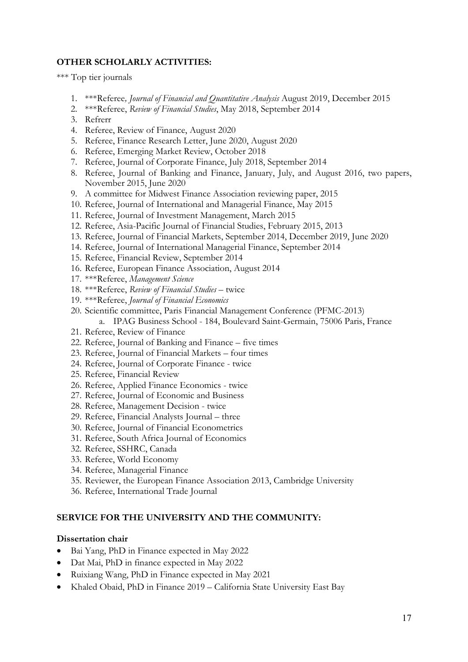### **OTHER SCHOLARLY ACTIVITIES:**

\*\*\* Top tier journals

- 1. \*\*\*Referee*, Journal of Financial and Quantitative Analysis* August 2019, December 2015
- 2. \*\*\*Referee, *Review of Financial Studies*, May 2018, September 2014
- 3. Refrerr
- 4. Referee, Review of Finance, August 2020
- 5. Referee, Finance Research Letter, June 2020, August 2020
- 6. Referee, Emerging Market Review, October 2018
- 7. Referee, Journal of Corporate Finance, July 2018, September 2014
- 8. Referee, Journal of Banking and Finance, January, July, and August 2016, two papers, November 2015, June 2020
- 9. A committee for Midwest Finance Association reviewing paper, 2015
- 10. Referee, Journal of International and Managerial Finance, May 2015
- 11. Referee, Journal of Investment Management, March 2015
- 12. Referee, Asia-Pacific Journal of Financial Studies, February 2015, 2013
- 13. Referee, Journal of Financial Markets, September 2014, December 2019, June 2020
- 14. Referee, Journal of International Managerial Finance, September 2014
- 15. Referee, Financial Review, September 2014
- 16. Referee, European Finance Association, August 2014
- 17. \*\*\*Referee, *Management Science*
- 18. \*\*\*Referee, *Review of Financial Studies* twice
- 19. \*\*\*Referee, *Journal of Financial Economics*
- 20. Scientific committee, Paris Financial Management Conference (PFMC-2013) a. IPAG Business School - 184, Boulevard Saint-Germain, 75006 Paris, France
- 21. Referee, Review of Finance
- 22. Referee, Journal of Banking and Finance five times
- 23. Referee, Journal of Financial Markets four times
- 24. Referee, Journal of Corporate Finance twice
- 25. Referee, Financial Review
- 26. Referee, Applied Finance Economics twice
- 27. Referee, Journal of Economic and Business
- 28. Referee, Management Decision twice
- 29. Referee, Financial Analysts Journal three
- 30. Referee, Journal of Financial Econometrics
- 31. Referee, South Africa Journal of Economics
- 32. Referee, SSHRC, Canada
- 33. Referee, World Economy
- 34. Referee, Managerial Finance
- 35. Reviewer, the European Finance Association 2013, Cambridge University
- 36. Referee, International Trade Journal

#### **SERVICE FOR THE UNIVERSITY AND THE COMMUNITY:**

#### **Dissertation chair**

- Bai Yang, PhD in Finance expected in May 2022
- Dat Mai, PhD in finance expected in May 2022
- Ruixiang Wang, PhD in Finance expected in May 2021
- Khaled Obaid, PhD in Finance 2019 California State University East Bay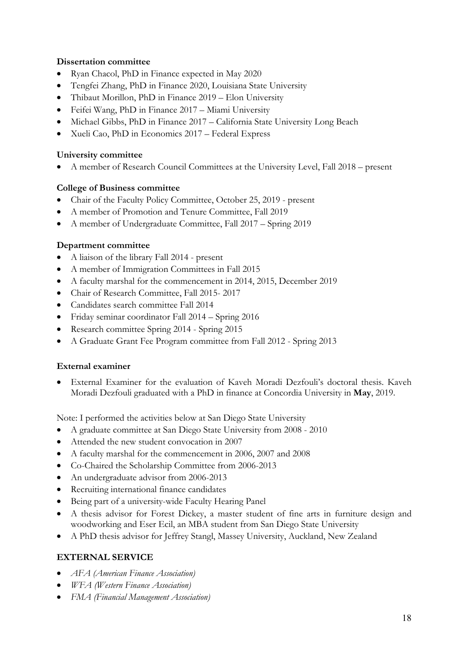## **Dissertation committee**

- Ryan Chacol, PhD in Finance expected in May 2020
- Tengfei Zhang, PhD in Finance 2020, Louisiana State University
- Thibaut Morillon, PhD in Finance 2019 Elon University
- Feifei Wang, PhD in Finance 2017 Miami University
- Michael Gibbs, PhD in Finance 2017 California State University Long Beach
- Xueli Cao, PhD in Economics 2017 Federal Express

#### **University committee**

• A member of Research Council Committees at the University Level, Fall 2018 – present

#### **College of Business committee**

- Chair of the Faculty Policy Committee, October 25, 2019 present
- A member of Promotion and Tenure Committee, Fall 2019
- A member of Undergraduate Committee, Fall 2017 Spring 2019

#### **Department committee**

- A liaison of the library Fall 2014 present
- A member of Immigration Committees in Fall 2015
- A faculty marshal for the commencement in 2014, 2015, December 2019
- Chair of Research Committee, Fall 2015- 2017
- Candidates search committee Fall 2014
- Friday seminar coordinator Fall 2014 Spring 2016
- Research committee Spring 2014 Spring 2015
- A Graduate Grant Fee Program committee from Fall 2012 Spring 2013

#### **External examiner**

• External Examiner for the evaluation of Kaveh Moradi Dezfouli's doctoral thesis. Kaveh Moradi Dezfouli graduated with a PhD in finance at Concordia University in **May**, 2019.

Note: I performed the activities below at San Diego State University

- A graduate committee at San Diego State University from 2008 2010
- Attended the new student convocation in 2007
- A faculty marshal for the commencement in 2006, 2007 and 2008
- Co-Chaired the Scholarship Committee from 2006-2013
- An undergraduate advisor from 2006-2013
- Recruiting international finance candidates
- Being part of a university-wide Faculty Hearing Panel
- A thesis advisor for Forest Dickey, a master student of fine arts in furniture design and woodworking and Eser Ecil, an MBA student from San Diego State University
- A PhD thesis advisor for Jeffrey Stangl, Massey University, Auckland, New Zealand

## **EXTERNAL SERVICE**

- *AFA (American Finance Association)*
- *WFA (Western Finance Association)*
- *FMA (Financial Management Association)*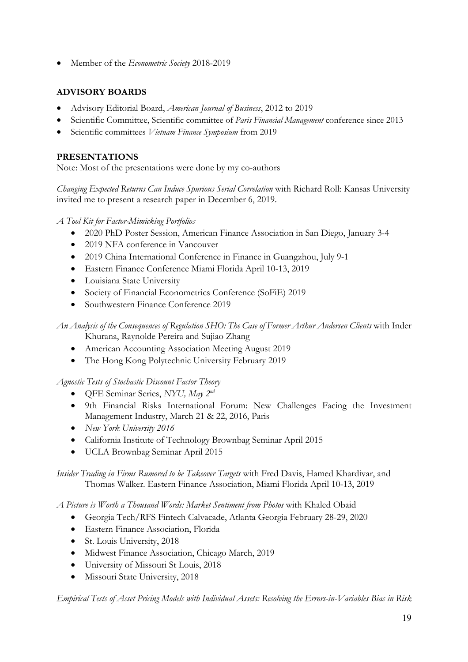• Member of the *Econometric Society* 2018-2019

# **ADVISORY BOARDS**

- Advisory Editorial Board, *American Journal of Business*, 2012 to 2019
- Scientific Committee, Scientific committee of *Paris Financial Management* conference since 2013
- Scientific committees *Vietnam Finance Symposium* from 2019

### **PRESENTATIONS**

Note: Most of the presentations were done by my co-authors

*Changing Expected Returns Can Induce Spurious Serial Correlation* with Richard Roll: Kansas University invited me to present a research paper in December 6, 2019.

*A Tool Kit for Factor-Mimicking Portfolios*

- 2020 PhD Poster Session, American Finance Association in San Diego, January 3-4
- 2019 NFA conference in Vancouver
- 2019 China International Conference in Finance in Guangzhou, July 9-1
- Eastern Finance Conference Miami Florida April 10-13, 2019
- Louisiana State University
- Society of Financial Econometrics Conference (SoFiE) 2019
- Southwestern Finance Conference 2019

*An Analysis of the Consequences of Regulation SHO: The Case of Former Arthur Andersen Clients* with Inder Khurana, Raynolde Pereira and Sujiao Zhang

- American Accounting Association Meeting August 2019
- The Hong Kong Polytechnic University February 2019

*Agnostic Tests of Stochastic Discount Factor Theory*

- QFE Seminar Series, *NYU, May 2nd*
- 9th Financial Risks International Forum: New Challenges Facing the Investment Management Industry, March 21 & 22, 2016, Paris
- *New York University 2016*
- California Institute of Technology Brownbag Seminar April 2015
- UCLA Brownbag Seminar April 2015

*Insider Trading in Firms Rumored to be Takeover Targets* with Fred Davis, Hamed Khardivar, and Thomas Walker. Eastern Finance Association, Miami Florida April 10-13, 2019

*A Picture is Worth a Thousand Words: Market Sentiment from Photos* with Khaled Obaid

- Georgia Tech/RFS Fintech Calvacade, Atlanta Georgia February 28-29, 2020
- Eastern Finance Association, Florida
- St. Louis University, 2018
- Midwest Finance Association, Chicago March, 2019
- University of Missouri St Louis, 2018
- Missouri State University, 2018

*Empirical Tests of Asset Pricing Models with Individual Assets: Resolving the Errors-in-Variables Bias in Risk*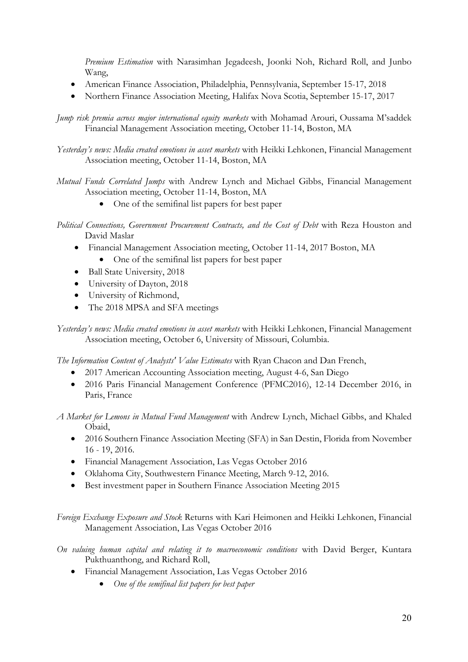*Premium Estimation* with Narasimhan Jegadeesh, Joonki Noh, Richard Roll, and Junbo Wang,

- American Finance Association, Philadelphia, Pennsylvania, September 15-17, 2018
- Northern Finance Association Meeting, Halifax Nova Scotia, September 15-17, 2017

*Jump risk premia across major international equity markets* with Mohamad Arouri, Oussama M'saddek Financial Management Association meeting, October 11-14, Boston, MA

- *Yesterday's news: Media created emotions in asset markets* with Heikki Lehkonen, Financial Management Association meeting, October 11-14, Boston, MA
- *Mutual Funds Correlated Jumps* with Andrew Lynch and Michael Gibbs, Financial Management Association meeting, October 11-14, Boston, MA
	- One of the semifinal list papers for best paper
- *Political Connections, Government Procurement Contracts, and the Cost of Debt* with Reza Houston and David Maslar
	- Financial Management Association meeting, October 11-14, 2017 Boston, MA • One of the semifinal list papers for best paper
	- Ball State University, 2018
	- University of Dayton, 2018
	- University of Richmond,
	- The 2018 MPSA and SFA meetings

*Yesterday's news: Media created emotions in asset markets* with Heikki Lehkonen, Financial Management Association meeting, October 6, University of Missouri, Columbia.

*The Information Content of Analysts' Value Estimates* with Ryan Chacon and Dan French,

- 2017 American Accounting Association meeting, August 4-6, San Diego
- 2016 Paris Financial Management Conference (PFMC2016), 12-14 December 2016, in Paris, France
- *A Market for Lemons in Mutual Fund Management* with Andrew Lynch, Michael Gibbs, and Khaled Obaid,
	- 2016 Southern Finance Association Meeting (SFA) in San Destin, Florida from November 16 - 19, 2016.
	- Financial Management Association, Las Vegas October 2016
	- Oklahoma City, Southwestern Finance Meeting, March 9-12, 2016.
	- Best investment paper in Southern Finance Association Meeting 2015

*Foreign Exchange Exposure and Stock* Returns with Kari Heimonen and Heikki Lehkonen, Financial Management Association, Las Vegas October 2016

*On valuing human capital and relating it to macroeconomic conditions* with David Berger, Kuntara Pukthuanthong, and Richard Roll,

- Financial Management Association, Las Vegas October 2016
	- *One of the semifinal list papers for best paper*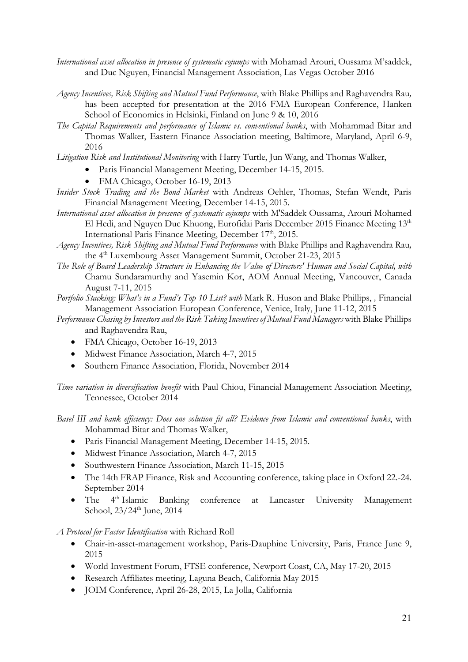- *International asset allocation in presence of systematic cojumps* with Mohamad Arouri, Oussama M'saddek, and Duc Nguyen, Financial Management Association, Las Vegas October 2016
- *Agency Incentives, Risk Shifting and Mutual Fund Performance*, with Blake Phillips and Raghavendra Rau*,*  has been accepted for presentation at the 2016 FMA European Conference, Hanken School of Economics in Helsinki, Finland on June 9 & 10, 2016
- *The Capital Requirements and performance of Islamic vs. conventional banks*, with Mohammad Bitar and Thomas Walker, Eastern Finance Association meeting, Baltimore, Maryland, April 6-9, 2016
- *Litigation Risk and Institutional Monitoring* with Harry Turtle, Jun Wang, and Thomas Walker,
	- Paris Financial Management Meeting, December 14-15, 2015.
	- FMA Chicago, October 16-19, 2013
- *Insider Stock Trading and the Bond Market* with Andreas Oehler, Thomas, Stefan Wendt, Paris Financial Management Meeting, December 14-15, 2015.
- *International asset allocation in presence of systematic cojumps* with M'Saddek Oussama, Arouri Mohamed El Hedi, and Nguyen Duc Khuong, Eurofidai Paris December 2015 Finance Meeting 13<sup>th</sup> International Paris Finance Meeting, December 17<sup>th</sup>, 2015.
- *Agency Incentives, Risk Shifting and Mutual Fund Performance* with Blake Phillips and Raghavendra Rau*,* the 4<sup>th</sup> Luxembourg Asset Management Summit, October 21-23, 2015
- *The Role of Board Leadership Structure in Enhancing the Value of Directors' Human and Social Capital, with*  Chamu Sundaramurthy and Yasemin Kor, AOM Annual Meeting, Vancouver, Canada August 7-11, 2015
- *Portfolio Stacking: What's in a Fund's Top 10 List? with* Mark R. Huson and Blake Phillips, *,* Financial Management Association European Conference, Venice, Italy, June 11-12, 2015
- *Performance Chasing by Investors and the Risk Taking Incentives of Mutual Fund Managers* with Blake Phillips and Raghavendra Rau,
	- FMA Chicago, October 16-19, 2013
	- Midwest Finance Association, March 4-7, 2015
	- Southern Finance Association, Florida, November 2014

*Time variation in diversification benefit* with Paul Chiou, Financial Management Association Meeting, Tennessee, October 2014

*Basel III and bank efficiency: Does one solution fit all? Evidence from Islamic and conventional banks*, with Mohammad Bitar and Thomas Walker,

- Paris Financial Management Meeting, December 14-15, 2015.
- Midwest Finance Association, March 4-7, 2015
- Southwestern Finance Association, March 11-15, 2015
- The 14th FRAP Finance, Risk and Accounting conference, taking place in Oxford 22.-24. September 2014
- The 4<sup>th</sup> Islamic Banking conference at Lancaster University Management School, 23/24<sup>th</sup> June, 2014

*A Protocol for Factor Identification* with Richard Roll

- Chair-in-asset-management workshop, Paris-Dauphine University, Paris, France June 9, 2015
- World Investment Forum, FTSE conference, Newport Coast, CA, May 17-20, 2015
- Research Affiliates meeting, Laguna Beach, California May 2015
- JOIM Conference, April 26-28, 2015, La Jolla, California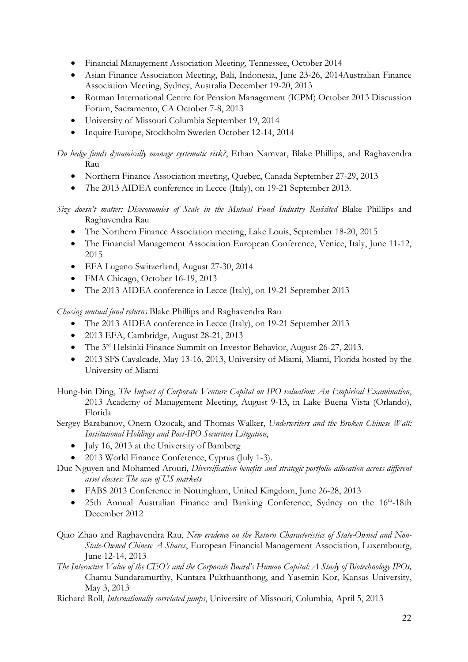- Financial Management Association Meeting, Tennessee, October 2014
- Asian Finance Association Meeting, Bali, Indonesia, June 23-26, 2014Australian Finance Association Meeting, Sydney, Australia December 19-20, 2013
- Rotman International Centre for Pension Management (ICPM) October 2013 Discussion Forum, Sacramento, CA October 7-8, 2013
- University of Missouri Columbia September 19, 2014
- Inquire Europe, Stockholm Sweden October 12-14, 2014

*Do hedge funds dynamically manage systematic risk?*, Ethan Namvar, Blake Phillips, and Raghavendra Rau

- Northern Finance Association meeting, Quebec, Canada September 27-29, 2013
- *T*he 2013 AIDEA conference in Lecce (Italy), on 19-21 September 2013.

*Size doesn't matter: Diseconomies of Scale in the Mutual Fund Industry Revisited* Blake Phillips and Raghavendra Rau

- The Northern Finance Association meeting, Lake Louis, September 18-20, 2015
- The Financial Management Association European Conference, Venice, Italy, June 11-12, 2015
- EFA Lugano Switzerland, August 27-30, 2014
- FMA Chicago, October 16-19, 2013
- The 2013 AIDEA conference in Lecce (Italy), on 19-21 September 2013

*Chasing mutual fund returns* Blake Phillips and Raghavendra Rau

- The 2013 AIDEA conference in Lecce (Italy), on 19-21 September 2013
- 2013 EFA, Cambridge, August 28-21, 2013
- The 3<sup>rd</sup> Helsinki Finance Summit on Investor Behavior, August 26-27, 2013.
- 2013 SFS Cavalcade, May 13-16, 2013, University of Miami, Miami, Florida hosted by the University of Miami

Hung-bin Ding, *The Impact of Corporate Venture Capital on IPO valuation: An Empirical Examination*, 2013 Academy of Management Meeting, August 9-13, in Lake Buena Vista (Orlando), Florida

Sergey Barabanov, Onem Ozocak, and Thomas Walker, *Underwriters and the Broken Chinese Wall: Institutional Holdings and Post-IPO Securities Litigation*,

- July 16, 2013 at the University of Bamberg
- 2013 World Finance Conference, Cyprus (July 1-3).

Duc Nguyen and Mohamed Arouri*, Diversification benefits and strategic portfolio allocation across different asset classes: The case of US markets*

- FABS 2013 Conference in Nottingham, United Kingdom, June 26-28, 2013
- 25th Annual Australian Finance and Banking Conference, Sydney on the 16<sup>th</sup>-18th December 2012
- Qiao Zhao and Raghavendra Rau, *New evidence on the Return Characteristics of State-Owned and Non-State-Owned Chinese A Shares*, European Financial Management Association, Luxembourg, June 12-14, 2013
- *The Interactive Value of the CEO's and the Corporate Board's Human Capital: A Study of Biotechnology IPOs,*  Chamu Sundaramurthy, Kuntara Pukthuanthong, and Yasemin Kor, Kansas University, May 3, 2013

Richard Roll, *Internationally correlated jumps*, University of Missouri, Columbia, April 5, 2013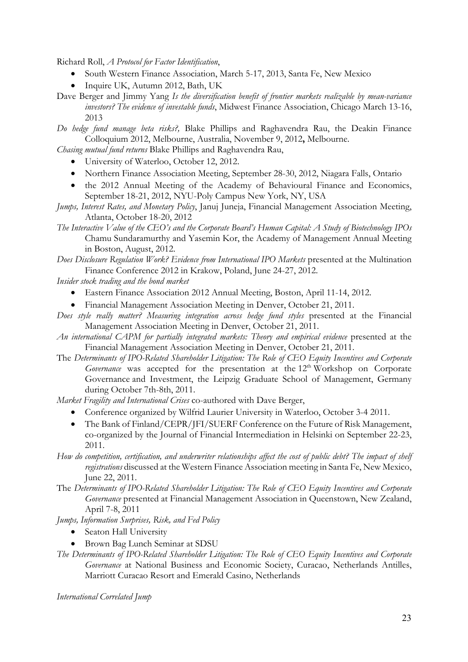Richard Roll, *A Protocol for Factor Identification*,

- South Western Finance Association, March 5-17, 2013, Santa Fe, New Mexico
- Inquire UK, Autumn 2012, Bath, UK

Dave Berger and Jimmy Yang *Is the diversification benefit of frontier markets realizable by mean-variance investors? The evidence of investable funds*, Midwest Finance Association, Chicago March 13-16, 2013

*Do hedge fund manage beta risks?,* Blake Phillips and Raghavendra Rau, the Deakin Finance Colloquium 2012, Melbourne, Australia, November 9, 2012**,** Melbourne.

*Chasing mutual fund returns* Blake Phillips and Raghavendra Rau,

- University of Waterloo, October 12, 2012.
- Northern Finance Association Meeting, September 28-30, 2012, Niagara Falls, Ontario
- the 2012 Annual Meeting of the Academy of Behavioural Finance and Economics, September 18-21, 2012, NYU-Poly Campus New York, NY, USA
- *Jumps, Interest Rates, and Monetary Policy*, Januj Juneja, Financial Management Association Meeting, Atlanta, October 18-20, 2012
- *The Interactive Value of the CEO's and the Corporate Board's Human Capital: A Study of Biotechnology IPOs*  Chamu Sundaramurthy and Yasemin Kor, the Academy of Management Annual Meeting in Boston, August, 2012.

*Does Disclosure Regulation Work? Evidence from International IPO Markets* presented at the Multination Finance Conference 2012 in Krakow, Poland, June 24-27, 2012.

*Insider stock trading and the bond market*

- Eastern Finance Association 2012 Annual Meeting, Boston, April 11-14, 2012.
- Financial Management Association Meeting in Denver, October 21, 2011.
- *Does style really matter? Measuring integration across hedge fund styles* presented at the Financial Management Association Meeting in Denver, October 21, 2011.
- *An international CAPM for partially integrated markets: Theory and empirical evidence* presented at the Financial Management Association Meeting in Denver, October 21, 2011.
- The *Determinants of IPO-Related Shareholder Litigation: The Role of CEO Equity Incentives and Corporate Governance* was accepted for the presentation at the 12<sup>th</sup> Workshop on Corporate Governance and Investment, the Leipzig Graduate School of Management, Germany during October 7th-8th, 2011.

*Market Fragility and International Crises* co-authored with Dave Berger,

- Conference organized by Wilfrid Laurier University in Waterloo, October 3-4 2011.
- The Bank of Finland/CEPR/JFI/SUERF Conference on the Future of Risk Management, co-organized by the Journal of Financial Intermediation in Helsinki on September 22-23, 2011.

*How do competition, certification, and underwriter relationships affect the cost of public debt? The impact of shelf registrations* discussed at the Western Finance Association meeting in Santa Fe, New Mexico, June 22, 2011.

The *Determinants of IPO-Related Shareholder Litigation: The Role of CEO Equity Incentives and Corporate Governance* presented at Financial Management Association in Queenstown, New Zealand, April 7-8, 2011

*Jumps, Information Surprises, Risk, and Fed Policy* 

- Seaton Hall University
- Brown Bag Lunch Seminar at SDSU
- *The Determinants of IPO-Related Shareholder Litigation: The Role of CEO Equity Incentives and Corporate Governance* at National Business and Economic Society, Curacao, Netherlands Antilles, Marriott Curacao Resort and Emerald Casino, Netherlands

*International Correlated Jump*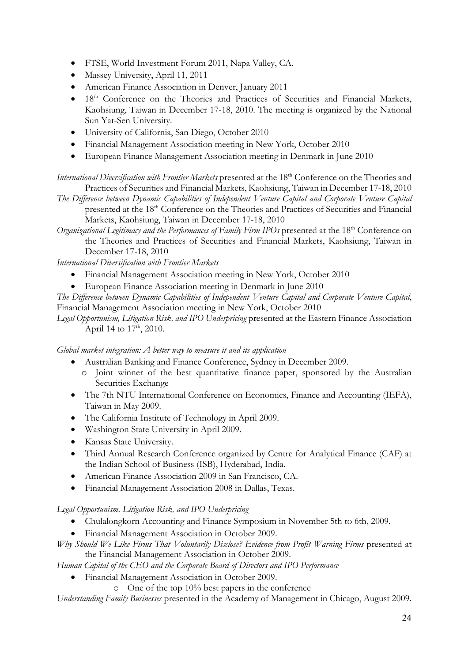- FTSE, World Investment Forum 2011, Napa Valley, CA.
- Massey University, April 11, 2011
- American Finance Association in Denver, January 2011
- 18<sup>th</sup> Conference on the Theories and Practices of Securities and Financial Markets, Kaohsiung, Taiwan in December 17-18, 2010. The meeting is organized by the National Sun Yat-Sen University.
- University of California, San Diego, October 2010
- Financial Management Association meeting in New York, October 2010
- European Finance Management Association meeting in Denmark in June 2010

*International Diversification with Frontier Markets* presented at the 18<sup>th</sup> Conference on the Theories and Practices of Securities and Financial Markets, Kaohsiung, Taiwan in December 17-18, 2010

*The Difference between Dynamic Capabilities of Independent Venture Capital and Corporate Venture Capital* presented at the 18th Conference on the Theories and Practices of Securities and Financial Markets, Kaohsiung, Taiwan in December 17-18, 2010

*Organizational Legitimacy and the Performances of Family Firm IPOs presented at the 18<sup>th</sup> Conference on* the Theories and Practices of Securities and Financial Markets, Kaohsiung, Taiwan in December 17-18, 2010

*International Diversification with Frontier Markets*

- Financial Management Association meeting in New York, October 2010
- European Finance Association meeting in Denmark in June 2010

*The Difference between Dynamic Capabilities of Independent Venture Capital and Corporate Venture Capital*, Financial Management Association meeting in New York, October 2010

*Legal Opportunism, Litigation Risk, and IPO Underpricing* presented at the Eastern Finance Association April 14 to  $17<sup>th</sup>$ , 2010.

*Global market integration: A better way to measure it and its application*

- Australian Banking and Finance Conference, Sydney in December 2009.
	- o Joint winner of the best quantitative finance paper, sponsored by the Australian Securities Exchange
- The 7th NTU International Conference on Economics, Finance and Accounting (IEFA), Taiwan in May 2009.
- The California Institute of Technology in April 2009.
- Washington State University in April 2009.
- Kansas State University.
- Third Annual Research Conference organized by Centre for Analytical Finance (CAF) at the Indian School of Business (ISB), Hyderabad, India.
- American Finance Association 2009 in San Francisco, CA.
- Financial Management Association 2008 in Dallas, Texas.

*Legal Opportunism, Litigation Risk, and IPO Underpricing*

- Chulalongkorn Accounting and Finance Symposium in November 5th to 6th, 2009.
- Financial Management Association in October 2009.

*Why Should We Like Firms That Voluntarily Disclose? Evidence from Profit Warning Firms* presented at the Financial Management Association in October 2009.

*Human Capital of the CEO and the Corporate Board of Directors and IPO Performance*

• Financial Management Association in October 2009.

o One of the top 10% best papers in the conference

*Understanding Family Businesses* presented in the Academy of Management in Chicago, August 2009.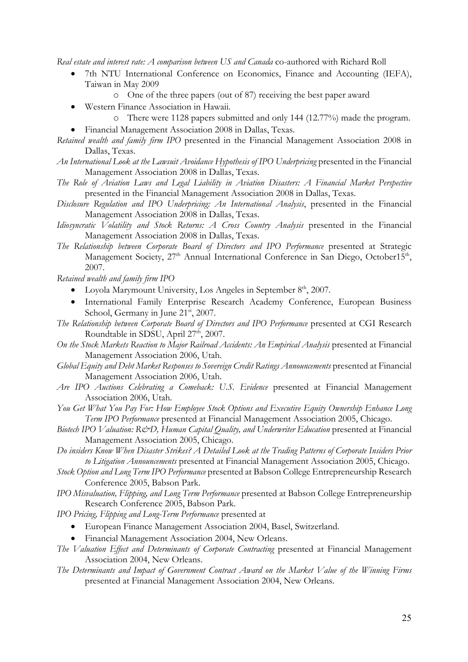*Real estate and interest rate: A comparison between US and Canada* co-authored with Richard Roll

- 7th NTU International Conference on Economics, Finance and Accounting (IEFA), Taiwan in May 2009
	- o One of the three papers (out of 87) receiving the best paper award
- Western Finance Association in Hawaii.
	- o There were 1128 papers submitted and only 144 (12.77%) made the program.
- Financial Management Association 2008 in Dallas, Texas.
- *Retained wealth and family firm IPO* presented in the Financial Management Association 2008 in Dallas, Texas.
- *An International Look at the Lawsuit Avoidance Hypothesis of IPO Underpricing* presented in the Financial Management Association 2008 in Dallas, Texas.
- *The Role of Aviation Laws and Legal Liability in Aviation Disasters: A Financial Market Perspective* presented in the Financial Management Association 2008 in Dallas, Texas.
- *Disclosure Regulation and IPO Underpricing: An International Analysis*, presented in the Financial Management Association 2008 in Dallas, Texas.
- *Idiosyncratic Volatility and Stock Returns: A Cross Country Analysis* presented in the Financial Management Association 2008 in Dallas, Texas.
- *The Relationship between Corporate Board of Directors and IPO Performance* presented at Strategic Management Society,  $27<sup>th</sup>$  Annual International Conference in San Diego, October15<sup>th</sup>, 2007.

*Retained wealth and family firm IPO* 

- Loyola Marymount University, Los Angeles in September 8<sup>th</sup>, 2007.
- International Family Enterprise Research Academy Conference, European Business School, Germany in June 21<sup>st</sup>, 2007.

*The Relationship between Corporate Board of Directors and IPO Performance* presented at CGI Research Roundtable in SDSU, April 27<sup>th</sup>, 2007.

- *On the Stock Markets Reaction to Major Railroad Accidents: An Empirical Analysis* presented at Financial Management Association 2006, Utah.
- *Global Equity and Debt Market Responses to Sovereign Credit Ratings Announcements* presented at Financial Management Association 2006, Utah.
- *Are IPO Auctions Celebrating a Comeback: U.S. Evidence* presented at Financial Management Association 2006, Utah.
- *You Get What You Pay For: How Employee Stock Options and Executive Equity Ownership Enhance Long Term IPO Performance* presented at Financial Management Association 2005, Chicago.
- *Biotech IPO Valuation: R&D, Human Capital Quality, and Underwriter Education* presented at Financial Management Association 2005, Chicago.
- *Do insiders Know When Disaster Strikes? A Detailed Look at the Trading Patterns of Corporate Insiders Prior to Litigation Announcements* presented at Financial Management Association 2005, Chicago.
- *Stock Option and Long Term IPO Performance* presented at Babson College Entrepreneurship Research Conference 2005, Babson Park.
- *IPO Misvaluation, Flipping, and Long Term Performance* presented at Babson College Entrepreneurship Research Conference 2005, Babson Park.
- *IPO Pricing, Flipping and Long-Term Performance* presented at
	- European Finance Management Association 2004, Basel, Switzerland.
	- Financial Management Association 2004, New Orleans.
- *The Valuation Effect and Determinants of Corporate Contracting* presented at Financial Management Association 2004, New Orleans.
- *The Determinants and Impact of Government Contract Award on the Market Value of the Winning Firms* presented at Financial Management Association 2004, New Orleans.